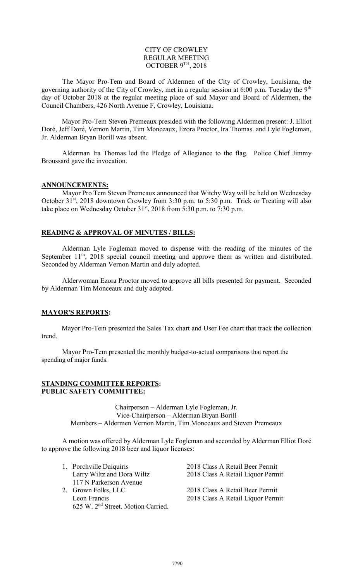### CITY OF CROWLEY REGULAR MEETING OCTOBER 9TH, 2018

The Mayor Pro-Tem and Board of Aldermen of the City of Crowley, Louisiana, the governing authority of the City of Crowley, met in a regular session at 6:00 p.m. Tuesday the 9<sup>th</sup> day of October 2018 at the regular meeting place of said Mayor and Board of Aldermen, the Council Chambers, 426 North Avenue F, Crowley, Louisiana.

Mayor Pro-Tem Steven Premeaux presided with the following Aldermen present: J. Elliot Doré, Jeff Doré, Vernon Martin, Tim Monceaux, Ezora Proctor, Ira Thomas. and Lyle Fogleman, Jr. Alderman Bryan Borill was absent.

Alderman Ira Thomas led the Pledge of Allegiance to the flag. Police Chief Jimmy Broussard gave the invocation.

#### **ANNOUNCEMENTS:**

Mayor Pro Tem Steven Premeaux announced that Witchy Way will be held on Wednesday October 31<sup>st</sup>, 2018 downtown Crowley from 3:30 p.m. to 5:30 p.m. Trick or Treating will also take place on Wednesday October  $31<sup>st</sup>$ , 2018 from 5:30 p.m. to 7:30 p.m.

## **READING & APPROVAL OF MINUTES / BILLS:**

Alderman Lyle Fogleman moved to dispense with the reading of the minutes of the September  $11<sup>th</sup>$ , 2018 special council meeting and approve them as written and distributed. Seconded by Alderman Vernon Martin and duly adopted.

Alderwoman Ezora Proctor moved to approve all bills presented for payment. Seconded by Alderman Tim Monceaux and duly adopted.

## **MAYOR'S REPORTS:**

Mayor Pro-Tem presented the Sales Tax chart and User Fee chart that track the collection trend.

Mayor Pro-Tem presented the monthly budget-to-actual comparisons that report the spending of major funds.

#### **STANDING COMMITTEE REPORTS: PUBLIC SAFETY COMMITTEE:**

Chairperson – Alderman Lyle Fogleman, Jr. Vice-Chairperson – Alderman Bryan Borill Members – Aldermen Vernon Martin, Tim Monceaux and Steven Premeaux

A motion was offered by Alderman Lyle Fogleman and seconded by Alderman Elliot Doré to approve the following 2018 beer and liquor licenses:

| 1. Porchville Daiquiris                        | 2018 Class A Retail Beer Permit   |
|------------------------------------------------|-----------------------------------|
| Larry Wiltz and Dora Wiltz                     | 2018 Class A Retail Liquor Permit |
| 117 N Parkerson Avenue                         |                                   |
| 2. Grown Folks, LLC                            | 2018 Class A Retail Beer Permit   |
| Leon Francis                                   | 2018 Class A Retail Liquor Permit |
| 625 W. 2 <sup>nd</sup> Street. Motion Carried. |                                   |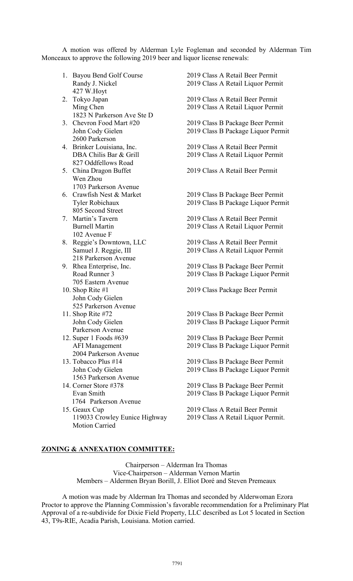A motion was offered by Alderman Lyle Fogleman and seconded by Alderman Tim Monceaux to approve the following 2019 beer and liquor license renewals:

|    | 1. Bayou Bend Golf Course     | 2019 Class A Retail Beer Permit    |
|----|-------------------------------|------------------------------------|
|    | Randy J. Nickel               | 2019 Class A Retail Liquor Permit  |
|    | 427 W.Hoyt                    |                                    |
| 2. | Tokyo Japan                   | 2019 Class A Retail Beer Permit    |
|    | Ming Chen                     | 2019 Class A Retail Liquor Permit  |
|    | 1823 N Parkerson Ave Ste D    |                                    |
| 3. | Chevron Food Mart #20         | 2019 Class B Package Beer Permit   |
|    | John Cody Gielen              | 2019 Class B Package Liquor Permit |
|    | 2600 Parkerson                |                                    |
|    | 4. Brinker Louisiana, Inc.    | 2019 Class A Retail Beer Permit    |
|    | DBA Chilis Bar & Grill        | 2019 Class A Retail Liquor Permit  |
|    | 827 Oddfellows Road           |                                    |
|    | 5. China Dragon Buffet        | 2019 Class A Retail Beer Permit    |
|    | Wen Zhou                      |                                    |
|    | 1703 Parkerson Avenue         |                                    |
|    | 6. Crawfish Nest & Market     | 2019 Class B Package Beer Permit   |
|    | <b>Tyler Robichaux</b>        | 2019 Class B Package Liquor Permit |
|    | 805 Second Street             |                                    |
|    |                               |                                    |
|    | 7. Martin's Tavern            | 2019 Class A Retail Beer Permit    |
|    | <b>Burnell Martin</b>         | 2019 Class A Retail Liquor Permit  |
|    | 102 Avenue F                  |                                    |
|    | 8. Reggie's Downtown, LLC     | 2019 Class A Retail Beer Permit    |
|    | Samuel J. Reggie, III         | 2019 Class A Retail Liquor Permit  |
|    | 218 Parkerson Avenue          |                                    |
|    | 9. Rhea Enterprise, Inc.      | 2019 Class B Package Beer Permit   |
|    | Road Runner 3                 | 2019 Class B Package Liquor Permit |
|    | 705 Eastern Avenue            |                                    |
|    | 10. Shop Rite $#1$            | 2019 Class Package Beer Permit     |
|    | John Cody Gielen              |                                    |
|    | 525 Parkerson Avenue          |                                    |
|    | 11. Shop Rite #72             | 2019 Class B Package Beer Permit   |
|    | John Cody Gielen              | 2019 Class B Package Liquor Permit |
|    | Parkerson Avenue              |                                    |
|    | 12. Super 1 Foods $#639$      | 2019 Class B Package Beer Permit   |
|    | <b>AFI</b> Management         | 2019 Class B Package Liquor Permit |
|    | 2004 Parkerson Avenue         |                                    |
|    | 13. Tobacco Plus #14          | 2019 Class B Package Beer Permit   |
|    | John Cody Gielen              | 2019 Class B Package Liquor Permit |
|    | 1563 Parkerson Avenue         |                                    |
|    | 14. Corner Store #378         | 2019 Class B Package Beer Permit   |
|    | Evan Smith                    | 2019 Class B Package Liquor Permit |
|    | 1764 Parkerson Avenue         |                                    |
|    | 15. Geaux Cup                 | 2019 Class A Retail Beer Permit    |
|    | 119033 Crowley Eunice Highway | 2019 Class A Retail Liquor Permit. |
|    | <b>Motion Carried</b>         |                                    |
|    |                               |                                    |
|    |                               |                                    |

Chairperson – Alderman Ira Thomas Vice-Chairperson – Alderman Vernon Martin Members – Aldermen Bryan Borill, J. Elliot Doré and Steven Premeaux

**ZONING & ANNEXATION COMMITTEE:**

A motion was made by Alderman Ira Thomas and seconded by Alderwoman Ezora Proctor to approve the Planning Commission's favorable recommendation for a Preliminary Plat Approval of a re-subdivide for Dixie Field Property, LLC described as Lot 5 located in Section 43, T9s-RIE, Acadia Parish, Louisiana. Motion carried.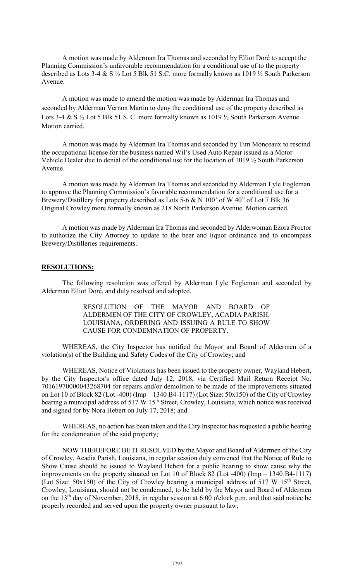A motion was made by Alderman Ira Thomas and seconded by Elliot Doré to accept the Planning Commission's unfavorable recommendation for a conditional use of to the property described as Lots 3-4 & S ½ Lot 5 Blk 51 S.C. more formally known as 1019 ½ South Parkerson Avenue.

A motion was made to amend the motion was made by Alderman Ira Thomas and seconded by Alderman Vernon Martin to deny the conditional use of the property described as Lots 3-4 & S  $\frac{1}{2}$  Lot 5 Blk 51 S. C. more formally known as 1019  $\frac{1}{2}$  South Parkerson Avenue. Motion carried.

A motion was made by Alderman Ira Thomas and seconded by Tim Monceaux to rescind the occupational license for the business named Wil's Used Auto Repair issued as a Motor Vehicle Dealer due to denial of the conditional use for the location of 1019 ½ South Parkerson Avenue.

A motion was made by Alderman Ira Thomas and seconded by Alderman Lyle Fogleman to approve the Planning Commission's favorable recommendation for a conditional use for a Brewery/Distillery for property described as Lots 5-6 & N 100' of W 40" of Lot 7 Blk 36 Original Crowley more formally known as 218 North Parkerson Avenue. Motion carried.

A motion was made by Alderman Ira Thomas and seconded by Alderwoman Ezora Proctor to authorize the City Attorney to update to the beer and liquor ordinance and to encompass Brewery/Distilleries requirements.

#### **RESOLUTIONS:**

The following resolution was offered by Alderman Lyle Fogleman and seconded by Alderman Elliot Doré, and duly resolved and adopted.

## RESOLUTION OF THE MAYOR AND BOARD OF ALDERMEN OF THE CITY OF CROWLEY, ACADIA PARISH, LOUISIANA, ORDERING AND ISSUING A RULE TO SHOW CAUSE FOR CONDEMNATION OF PROPERTY.

WHEREAS, the City Inspector has notified the Mayor and Board of Aldermen of a violation(s) of the Building and Safety Codes of the City of Crowley; and

WHEREAS, Notice of Violations has been issued to the property owner, Wayland Hebert, by the City Inspector's office dated July 12, 2018, via Certified Mail Return Receipt No. 70161970000043268704 for repairs and/or demolition to be made of the improvements situated on Lot 10 of Block 82 (Lot -400) (Imp – 1340 B4-1117) (Lot Size: 50x150) of the City of Crowley bearing a municipal address of  $517 \text{ W } 15^{\text{th}}$  Street, Crowley, Louisiana, which notice was received and signed for by Nora Hebert on July 17, 2018; and

WHEREAS, no action has been taken and the City Inspector has requested a public hearing for the condemnation of the said property;

NOW THEREFORE BE IT RESOLVED by the Mayor and Board of Aldermen of the City of Crowley, Acadia Parish, Louisiana, in regular session duly convened that the Notice of Rule to Show Cause should be issued to Wayland Hebert for a public hearing to show cause why the improvements on the property situated on Lot 10 of Block 82 (Lot -400) (Imp – 1340 B4-1117) (Lot Size:  $50x150$ ) of the City of Crowley bearing a municipal address of  $517 \text{ W } 15^{\text{th}}$  Street, Crowley, Louisiana, should not be condemned, to be held by the Mayor and Board of Aldermen on the 13th day of November, 2018, in regular session at 6:00 o'clock p.m. and that said notice be properly recorded and served upon the property owner pursuant to law;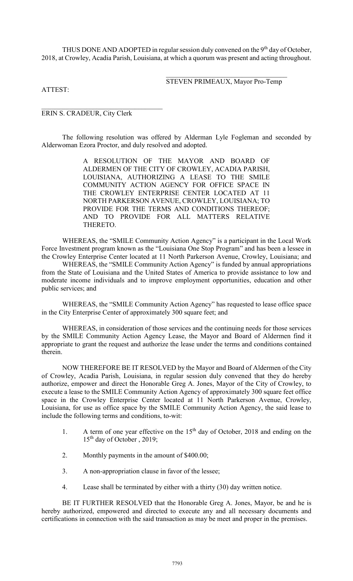THUS DONE AND ADOPTED in regular session duly convened on the 9<sup>th</sup> day of October, 2018, at Crowley, Acadia Parish, Louisiana, at which a quorum was present and acting throughout.

> $\mathcal{L}_\mathcal{L}$  , which is a set of the set of the set of the set of the set of the set of the set of the set of the set of the set of the set of the set of the set of the set of the set of the set of the set of the set of STEVEN PRIMEAUX, Mayor Pro-Temp

ATTEST:

ERIN S. CRADEUR, City Clerk

\_\_\_\_\_\_\_\_\_\_\_\_\_\_\_\_\_\_\_\_\_\_\_\_\_\_\_\_\_\_\_\_\_\_\_

The following resolution was offered by Alderman Lyle Fogleman and seconded by Alderwoman Ezora Proctor, and duly resolved and adopted.

> A RESOLUTION OF THE MAYOR AND BOARD OF ALDERMEN OF THE CITY OF CROWLEY, ACADIA PARISH, LOUISIANA, AUTHORIZING A LEASE TO THE SMILE COMMUNITY ACTION AGENCY FOR OFFICE SPACE IN THE CROWLEY ENTERPRISE CENTER LOCATED AT 11 NORTH PARKERSON AVENUE, CROWLEY, LOUISIANA; TO PROVIDE FOR THE TERMS AND CONDITIONS THEREOF; AND TO PROVIDE FOR ALL MATTERS RELATIVE THERETO.

WHEREAS, the "SMILE Community Action Agency" is a participant in the Local Work Force Investment program known as the "Louisiana One Stop Program" and has been a lessee in the Crowley Enterprise Center located at 11 North Parkerson Avenue, Crowley, Louisiana; and

WHEREAS, the "SMILE Community Action Agency" is funded by annual appropriations from the State of Louisiana and the United States of America to provide assistance to low and moderate income individuals and to improve employment opportunities, education and other public services; and

WHEREAS, the "SMILE Community Action Agency" has requested to lease office space in the City Enterprise Center of approximately 300 square feet; and

WHEREAS, in consideration of those services and the continuing needs for those services by the SMILE Community Action Agency Lease, the Mayor and Board of Aldermen find it appropriate to grant the request and authorize the lease under the terms and conditions contained therein.

NOW THEREFORE BE IT RESOLVED by the Mayor and Board of Aldermen of the City of Crowley, Acadia Parish, Louisiana, in regular session duly convened that they do hereby authorize, empower and direct the Honorable Greg A. Jones, Mayor of the City of Crowley, to execute a lease to the SMILE Community Action Agency of approximately 300 square feet office space in the Crowley Enterprise Center located at 11 North Parkerson Avenue, Crowley, Louisiana, for use as office space by the SMILE Community Action Agency, the said lease to include the following terms and conditions, to-wit:

- 1. A term of one year effective on the  $15<sup>th</sup>$  day of October, 2018 and ending on the  $15<sup>th</sup>$  day of October, 2019;
- 2. Monthly payments in the amount of \$400.00;
- 3. A non-appropriation clause in favor of the lessee;
- 4. Lease shall be terminated by either with a thirty (30) day written notice.

BE IT FURTHER RESOLVED that the Honorable Greg A. Jones, Mayor, be and he is hereby authorized, empowered and directed to execute any and all necessary documents and certifications in connection with the said transaction as may be meet and proper in the premises.